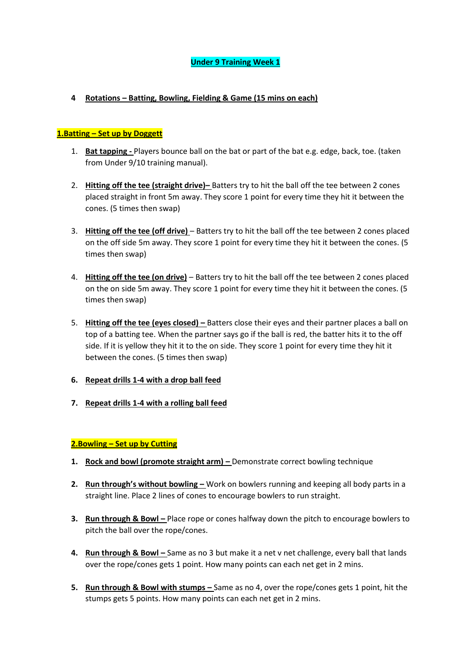# **4 Rotations – Batting, Bowling, Fielding & Game (15 mins on each)**

# **1.Batting – Set up by Doggett**

- 1. **Bat tapping -** Players bounce ball on the bat or part of the bat e.g. edge, back, toe. (taken from Under 9/10 training manual).
- 2. **Hitting off the tee (straight drive)–** Batters try to hit the ball off the tee between 2 cones placed straight in front 5m away. They score 1 point for every time they hit it between the cones. (5 times then swap)
- 3. **Hitting off the tee (off drive)** Batters try to hit the ball off the tee between 2 cones placed on the off side 5m away. They score 1 point for every time they hit it between the cones. (5 times then swap)
- 4. **Hitting off the tee (on drive)** Batters try to hit the ball off the tee between 2 cones placed on the on side 5m away. They score 1 point for every time they hit it between the cones. (5 times then swap)
- 5. **Hitting off the tee (eyes closed) –** Batters close their eyes and their partner places a ball on top of a batting tee. When the partner says go if the ball is red, the batter hits it to the off side. If it is yellow they hit it to the on side. They score 1 point for every time they hit it between the cones. (5 times then swap)
- **6. Repeat drills 1-4 with a drop ball feed**
- **7. Repeat drills 1-4 with a rolling ball feed**

# **2.Bowling – Set up by Cutting**

- **1.** Rock and bowl (promote straight arm) Demonstrate correct bowling technique
- **2. Run through's without bowling –** Work on bowlers running and keeping all body parts in a straight line. Place 2 lines of cones to encourage bowlers to run straight.
- **3.** Run through & Bowl Place rope or cones halfway down the pitch to encourage bowlers to pitch the ball over the rope/cones.
- **4. Run through & Bowl** Same as no 3 but make it a net v net challenge, every ball that lands over the rope/cones gets 1 point. How many points can each net get in 2 mins.
- **5. Run through & Bowl with stumps –** Same as no 4, over the rope/cones gets 1 point, hit the stumps gets 5 points. How many points can each net get in 2 mins.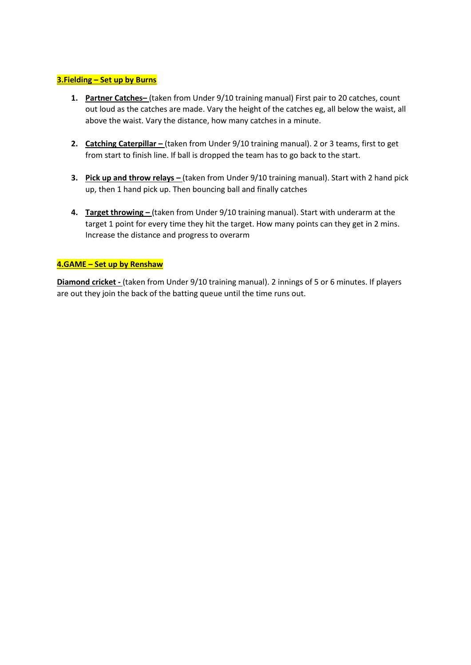# **3.Fielding – Set up by Burns**

- **1. Partner Catches–** (taken from Under 9/10 training manual) First pair to 20 catches, count out loud as the catches are made. Vary the height of the catches eg, all below the waist, all above the waist. Vary the distance, how many catches in a minute.
- **2. Catching Caterpillar –** (taken from Under 9/10 training manual). 2 or 3 teams, first to get from start to finish line. If ball is dropped the team has to go back to the start.
- **3. Pick up and throw relays (taken from Under 9/10 training manual). Start with 2 hand pick** up, then 1 hand pick up. Then bouncing ball and finally catches
- **4. Target throwing –** (taken from Under 9/10 training manual). Start with underarm at the target 1 point for every time they hit the target. How many points can they get in 2 mins. Increase the distance and progress to overarm

### **4.GAME – Set up by Renshaw**

**Diamond cricket -** (taken from Under 9/10 training manual). 2 innings of 5 or 6 minutes. If players are out they join the back of the batting queue until the time runs out.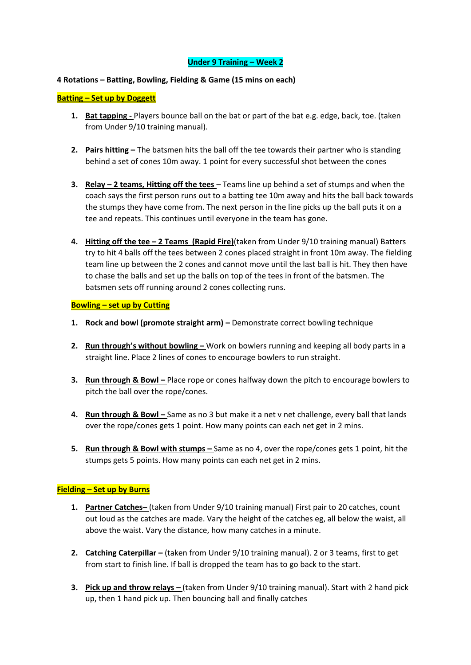### **4 Rotations – Batting, Bowling, Fielding & Game (15 mins on each)**

### **Batting – Set up by Doggett**

- **1. Bat tapping -** Players bounce ball on the bat or part of the bat e.g. edge, back, toe. (taken from Under 9/10 training manual).
- **2. Pairs hitting –** The batsmen hits the ball off the tee towards their partner who is standing behind a set of cones 10m away. 1 point for every successful shot between the cones
- **3. Relay – 2 teams, Hitting off the tees**  Teams line up behind a set of stumps and when the coach says the first person runs out to a batting tee 10m away and hits the ball back towards the stumps they have come from. The next person in the line picks up the ball puts it on a tee and repeats. This continues until everyone in the team has gone.
- **4. Hitting off the tee – 2 Teams (Rapid Fire)**(taken from Under 9/10 training manual) Batters try to hit 4 balls off the tees between 2 cones placed straight in front 10m away. The fielding team line up between the 2 cones and cannot move until the last ball is hit. They then have to chase the balls and set up the balls on top of the tees in front of the batsmen. The batsmen sets off running around 2 cones collecting runs.

#### **Bowling – set up by Cutting**

- **1. Rock and bowl (promote straight arm) –** Demonstrate correct bowling technique
- **2. Run through's without bowling –** Work on bowlers running and keeping all body parts in a straight line. Place 2 lines of cones to encourage bowlers to run straight.
- **3.** Run through & Bowl Place rope or cones halfway down the pitch to encourage bowlers to pitch the ball over the rope/cones.
- **4.** Run through & Bowl Same as no 3 but make it a net v net challenge, every ball that lands over the rope/cones gets 1 point. How many points can each net get in 2 mins.
- **5. Run through & Bowl with stumps –** Same as no 4, over the rope/cones gets 1 point, hit the stumps gets 5 points. How many points can each net get in 2 mins.

### **Fielding – Set up by Burns**

- **1. Partner Catches–** (taken from Under 9/10 training manual) First pair to 20 catches, count out loud as the catches are made. Vary the height of the catches eg, all below the waist, all above the waist. Vary the distance, how many catches in a minute.
- **2. Catching Caterpillar** (taken from Under 9/10 training manual). 2 or 3 teams, first to get from start to finish line. If ball is dropped the team has to go back to the start.
- **3.** Pick up and throw relays (taken from Under 9/10 training manual). Start with 2 hand pick up, then 1 hand pick up. Then bouncing ball and finally catches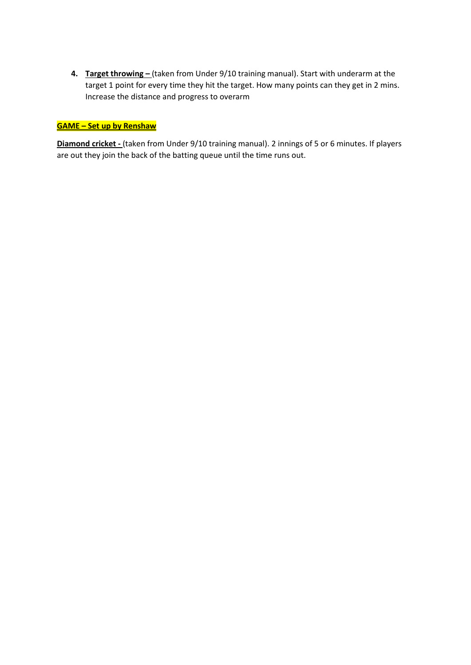**4. Target throwing** – (taken from Under 9/10 training manual). Start with underarm at the target 1 point for every time they hit the target. How many points can they get in 2 mins. Increase the distance and progress to overarm

# **GAME – Set up by Renshaw**

**Diamond cricket -** (taken from Under 9/10 training manual). 2 innings of 5 or 6 minutes. If players are out they join the back of the batting queue until the time runs out.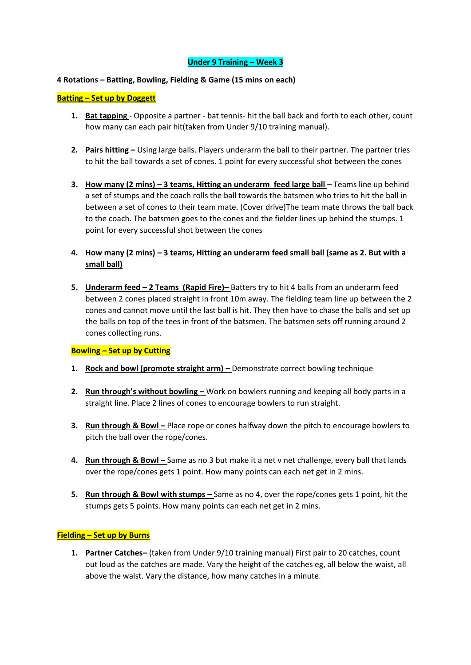### **4 Rotations – Batting, Bowling, Fielding & Game (15 mins on each)**

### **Batting – Set up by Doggett**

- **1. Bat tapping**  Opposite a partner bat tennis- hit the ball back and forth to each other, count how many can each pair hit(taken from Under 9/10 training manual).
- **2. Pairs hitting –** Using large balls. Players underarm the ball to their partner. The partner tries to hit the ball towards a set of cones. 1 point for every successful shot between the cones
- **3. How many (2 mins) – 3 teams, Hitting an underarm feed large ball** Teams line up behind a set of stumps and the coach rolls the ball towards the batsmen who tries to hit the ball in between a set of cones to their team mate. (Cover drive)The team mate throws the ball back to the coach. The batsmen goes to the cones and the fielder lines up behind the stumps. 1 point for every successful shot between the cones
- **4. How many (2 mins) – 3 teams, Hitting an underarm feed small ball (same as 2. But with a small ball)**
- **5. Underarm feed – 2 Teams (Rapid Fire)–** Batters try to hit 4 balls from an underarm feed between 2 cones placed straight in front 10m away. The fielding team line up between the 2 cones and cannot move until the last ball is hit. They then have to chase the balls and set up the balls on top of the tees in front of the batsmen. The batsmen sets off running around 2 cones collecting runs.

### **Bowling – Set up by Cutting**

- **1. Rock and bowl (promote straight arm) –** Demonstrate correct bowling technique
- **2. Run through's without bowling –** Work on bowlers running and keeping all body parts in a straight line. Place 2 lines of cones to encourage bowlers to run straight.
- **3.** Run through & Bowl Place rope or cones halfway down the pitch to encourage bowlers to pitch the ball over the rope/cones.
- **4. Run through & Bowl** Same as no 3 but make it a net v net challenge, every ball that lands over the rope/cones gets 1 point. How many points can each net get in 2 mins.
- **5. Run through & Bowl with stumps –** Same as no 4, over the rope/cones gets 1 point, hit the stumps gets 5 points. How many points can each net get in 2 mins.

### **Fielding – Set up by Burns**

**1. Partner Catches–** (taken from Under 9/10 training manual) First pair to 20 catches, count out loud as the catches are made. Vary the height of the catches eg, all below the waist, all above the waist. Vary the distance, how many catches in a minute.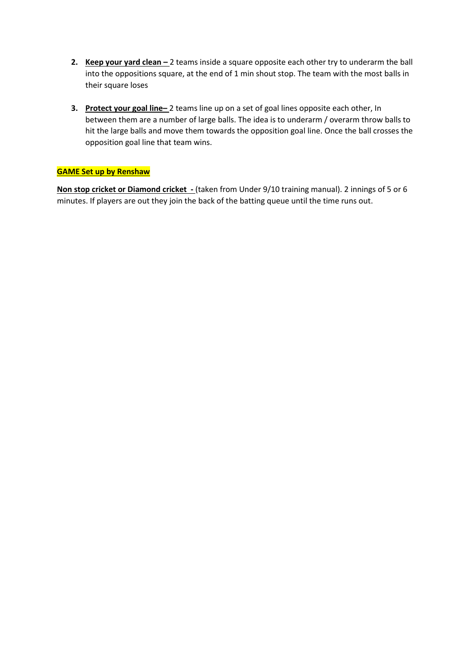- **2. Keep your yard clean** 2 teams inside a square opposite each other try to underarm the ball into the oppositions square, at the end of 1 min shout stop. The team with the most balls in their square loses
- **3. Protect your goal line–** 2 teams line up on a set of goal lines opposite each other, In between them are a number of large balls. The idea is to underarm / overarm throw balls to hit the large balls and move them towards the opposition goal line. Once the ball crosses the opposition goal line that team wins.

## **GAME Set up by Renshaw**

**Non stop cricket or Diamond cricket -** (taken from Under 9/10 training manual). 2 innings of 5 or 6 minutes. If players are out they join the back of the batting queue until the time runs out.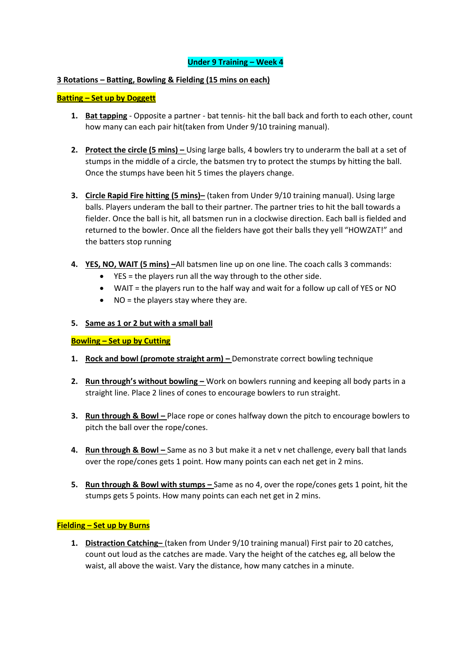### **3 Rotations – Batting, Bowling & Fielding (15 mins on each)**

### **Batting – Set up by Doggett**

- **1. Bat tapping** Opposite a partner bat tennis- hit the ball back and forth to each other, count how many can each pair hit(taken from Under 9/10 training manual).
- **2.** Protect the circle (5 mins) Using large balls, 4 bowlers try to underarm the ball at a set of stumps in the middle of a circle, the batsmen try to protect the stumps by hitting the ball. Once the stumps have been hit 5 times the players change.
- **3. Circle Rapid Fire hitting (5 mins)–** (taken from Under 9/10 training manual). Using large balls. Players underam the ball to their partner. The partner tries to hit the ball towards a fielder. Once the ball is hit, all batsmen run in a clockwise direction. Each ball is fielded and returned to the bowler. Once all the fielders have got their balls they yell "HOWZAT!" and the batters stop running
- **4. YES, NO, WAIT (5 mins) –**All batsmen line up on one line. The coach calls 3 commands:
	- YES = the players run all the way through to the other side.
	- WAIT = the players run to the half way and wait for a follow up call of YES or NO
	- $\bullet$  NO = the players stay where they are.

### **5. Same as 1 or 2 but with a small ball**

### **Bowling – Set up by Cutting**

- **1. Rock and bowl (promote straight arm) –** Demonstrate correct bowling technique
- **2. Run through's without bowling –** Work on bowlers running and keeping all body parts in a straight line. Place 2 lines of cones to encourage bowlers to run straight.
- **3.** Run through & Bowl Place rope or cones halfway down the pitch to encourage bowlers to pitch the ball over the rope/cones.
- **4.** Run through & Bowl Same as no 3 but make it a net v net challenge, every ball that lands over the rope/cones gets 1 point. How many points can each net get in 2 mins.
- **5. Run through & Bowl with stumps –** Same as no 4, over the rope/cones gets 1 point, hit the stumps gets 5 points. How many points can each net get in 2 mins.

### **Fielding – Set up by Burns**

**1. Distraction Catching–** (taken from Under 9/10 training manual) First pair to 20 catches, count out loud as the catches are made. Vary the height of the catches eg, all below the waist, all above the waist. Vary the distance, how many catches in a minute.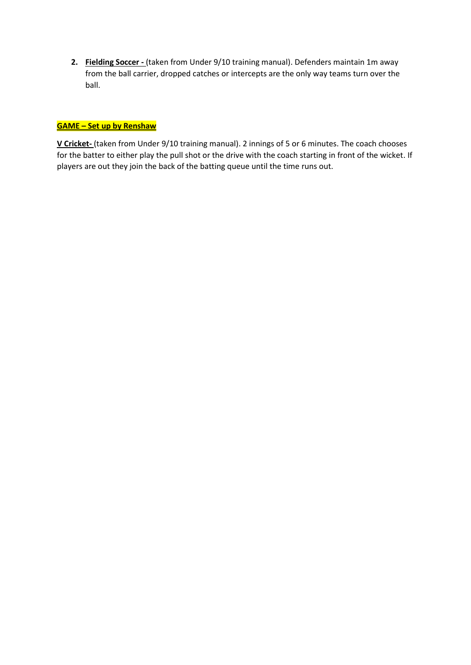**2. Fielding Soccer -** (taken from Under 9/10 training manual). Defenders maintain 1m away from the ball carrier, dropped catches or intercepts are the only way teams turn over the ball.

## **GAME – Set up by Renshaw**

**V Cricket-** (taken from Under 9/10 training manual). 2 innings of 5 or 6 minutes. The coach chooses for the batter to either play the pull shot or the drive with the coach starting in front of the wicket. If players are out they join the back of the batting queue until the time runs out.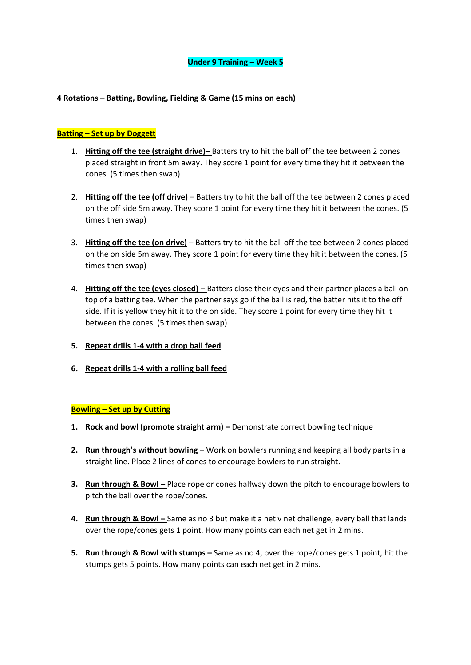### **4 Rotations – Batting, Bowling, Fielding & Game (15 mins on each)**

### **Batting – Set up by Doggett**

- 1. **Hitting off the tee (straight drive)–** Batters try to hit the ball off the tee between 2 cones placed straight in front 5m away. They score 1 point for every time they hit it between the cones. (5 times then swap)
- 2. **Hitting off the tee (off drive)** Batters try to hit the ball off the tee between 2 cones placed on the off side 5m away. They score 1 point for every time they hit it between the cones. (5 times then swap)
- 3. **Hitting off the tee (on drive)** Batters try to hit the ball off the tee between 2 cones placed on the on side 5m away. They score 1 point for every time they hit it between the cones. (5 times then swap)
- 4. **Hitting off the tee (eyes closed) –** Batters close their eyes and their partner places a ball on top of a batting tee. When the partner says go if the ball is red, the batter hits it to the off side. If it is yellow they hit it to the on side. They score 1 point for every time they hit it between the cones. (5 times then swap)
- **5. Repeat drills 1-4 with a drop ball feed**
- **6. Repeat drills 1-4 with a rolling ball feed**

### **Bowling – Set up by Cutting**

- **1. Rock and bowl (promote straight arm) –** Demonstrate correct bowling technique
- **2.** Run through's without bowling Work on bowlers running and keeping all body parts in a straight line. Place 2 lines of cones to encourage bowlers to run straight.
- **3. Run through & Bowl Place rope or cones halfway down the pitch to encourage bowlers to** pitch the ball over the rope/cones.
- **4. Run through & Bowl** Same as no 3 but make it a net v net challenge, every ball that lands over the rope/cones gets 1 point. How many points can each net get in 2 mins.
- **5. Run through & Bowl with stumps –** Same as no 4, over the rope/cones gets 1 point, hit the stumps gets 5 points. How many points can each net get in 2 mins.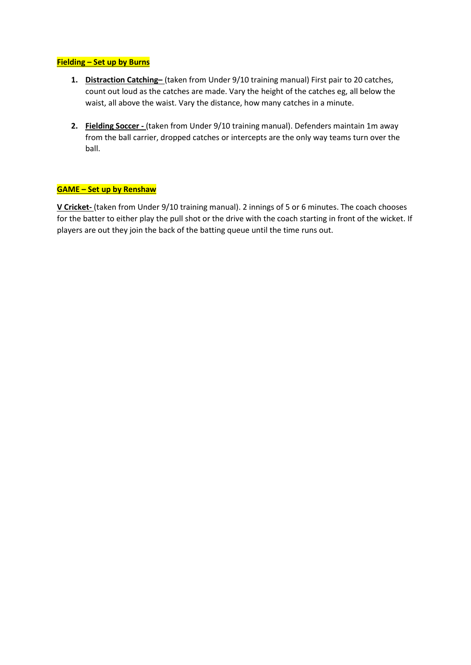### **Fielding – Set up by Burns**

- **1. Distraction Catching–** (taken from Under 9/10 training manual) First pair to 20 catches, count out loud as the catches are made. Vary the height of the catches eg, all below the waist, all above the waist. Vary the distance, how many catches in a minute.
- **2. Fielding Soccer -** (taken from Under 9/10 training manual). Defenders maintain 1m away from the ball carrier, dropped catches or intercepts are the only way teams turn over the ball.

## **GAME – Set up by Renshaw**

**V Cricket-** (taken from Under 9/10 training manual). 2 innings of 5 or 6 minutes. The coach chooses for the batter to either play the pull shot or the drive with the coach starting in front of the wicket. If players are out they join the back of the batting queue until the time runs out.